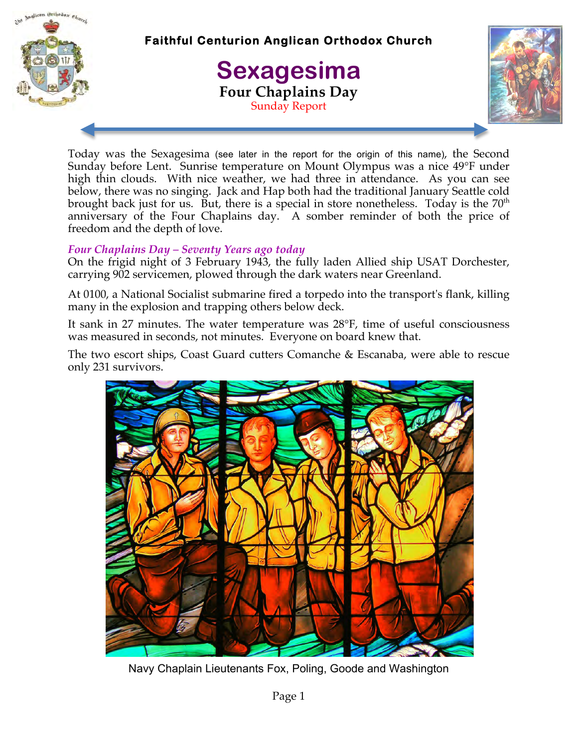

**Faithful Centurion Anglican Orthodox Church** 

# **Sexagesima Four Chaplains Day** Sunday Report



Today was the Sexagesima (see later in the report for the origin of this name), the Second Sunday before Lent. Sunrise temperature on Mount Olympus was a nice 49°F under high thin clouds. With nice weather, we had three in attendance. As you can see below, there was no singing. Jack and Hap both had the traditional January Seattle cold brought back just for us. But, there is a special in store nonetheless. Today is the  $70<sup>th</sup>$ anniversary of the Four Chaplains day. A somber reminder of both the price of freedom and the depth of love.

## *Four Chaplains Day – Seventy Years ago today*

On the frigid night of 3 February 1943, the fully laden Allied ship USAT Dorchester, carrying 902 servicemen, plowed through the dark waters near Greenland.

At 0100, a National Socialist submarine fired a torpedo into the transport's flank, killing many in the explosion and trapping others below deck.

It sank in 27 minutes. The water temperature was 28°F, time of useful consciousness was measured in seconds, not minutes. Everyone on board knew that.

The two escort ships, Coast Guard cutters Comanche & Escanaba, were able to rescue only 231 survivors.



Navy Chaplain Lieutenants Fox, Poling, Goode and Washington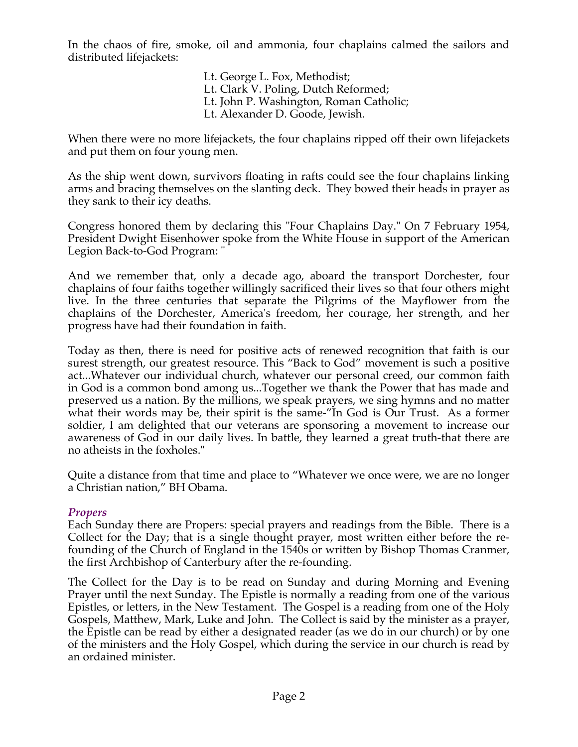In the chaos of fire, smoke, oil and ammonia, four chaplains calmed the sailors and distributed lifejackets:

> Lt. George L. Fox, Methodist; Lt. Clark V. Poling, Dutch Reformed; Lt. John P. Washington, Roman Catholic; Lt. Alexander D. Goode, Jewish.

When there were no more lifejackets, the four chaplains ripped off their own lifejackets and put them on four young men.

As the ship went down, survivors floating in rafts could see the four chaplains linking arms and bracing themselves on the slanting deck. They bowed their heads in prayer as they sank to their icy deaths.

Congress honored them by declaring this "Four Chaplains Day." On 7 February 1954, President Dwight Eisenhower spoke from the White House in support of the American Legion Back-to-God Program: "

And we remember that, only a decade ago, aboard the transport Dorchester, four chaplains of four faiths together willingly sacrificed their lives so that four others might live. In the three centuries that separate the Pilgrims of the Mayflower from the chaplains of the Dorchester, America's freedom, her courage, her strength, and her progress have had their foundation in faith.

Today as then, there is need for positive acts of renewed recognition that faith is our surest strength, our greatest resource. This "Back to God" movement is such a positive act...Whatever our individual church, whatever our personal creed, our common faith in God is a common bond among us...Together we thank the Power that has made and preserved us a nation. By the millions, we speak prayers, we sing hymns and no matter what their words may be, their spirit is the same-"In God is Our Trust. As a former soldier, I am delighted that our veterans are sponsoring a movement to increase our awareness of God in our daily lives. In battle, they learned a great truth-that there are no atheists in the foxholes."

Quite a distance from that time and place to "Whatever we once were, we are no longer a Christian nation," BH Obama.

## *Propers*

Each Sunday there are Propers: special prayers and readings from the Bible. There is a Collect for the Day; that is a single thought prayer, most written either before the refounding of the Church of England in the 1540s or written by Bishop Thomas Cranmer, the first Archbishop of Canterbury after the re-founding.

The Collect for the Day is to be read on Sunday and during Morning and Evening Prayer until the next Sunday. The Epistle is normally a reading from one of the various Epistles, or letters, in the New Testament. The Gospel is a reading from one of the Holy Gospels, Matthew, Mark, Luke and John. The Collect is said by the minister as a prayer, the Epistle can be read by either a designated reader (as we do in our church) or by one of the ministers and the Holy Gospel, which during the service in our church is read by an ordained minister.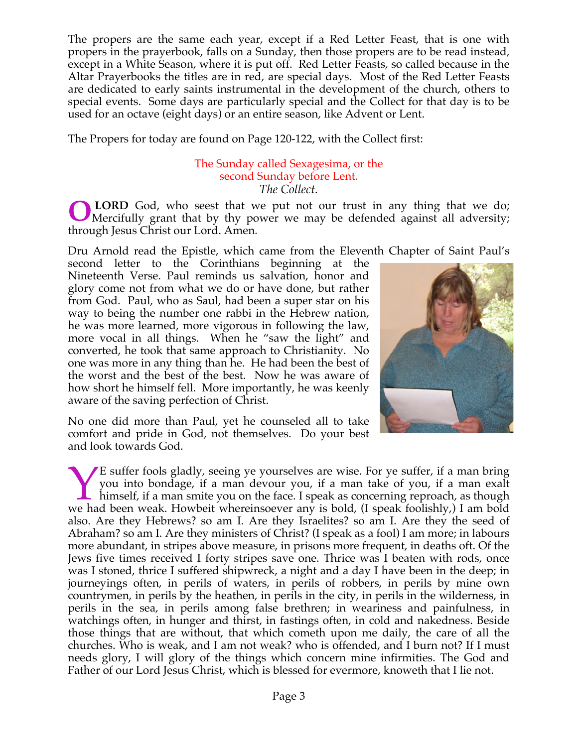The propers are the same each year, except if a Red Letter Feast, that is one with propers in the prayerbook, falls on a Sunday, then those propers are to be read instead, except in a White Season, where it is put off. Red Letter Feasts, so called because in the Altar Prayerbooks the titles are in red, are special days. Most of the Red Letter Feasts are dedicated to early saints instrumental in the development of the church, others to special events. Some days are particularly special and the Collect for that day is to be used for an octave (eight days) or an entire season, like Advent or Lent.

The Propers for today are found on Page 120-122, with the Collect first:

#### The Sunday called Sexagesima, or the second Sunday before Lent. *The Collect.*

 **LORD** God, who seest that we put not our trust in any thing that we do; Mercifully grant that by thy power we may be defended against all adversity; through Jesus Christ our Lord. Amen*.* **O**

Dru Arnold read the Epistle, which came from the Eleventh Chapter of Saint Paul's

second letter to the Corinthians beginning at the Nineteenth Verse. Paul reminds us salvation, honor and glory come not from what we do or have done, but rather from God. Paul, who as Saul, had been a super star on his way to being the number one rabbi in the Hebrew nation, he was more learned, more vigorous in following the law, more vocal in all things. When he "saw the light" and converted, he took that same approach to Christianity. No one was more in any thing than he. He had been the best of the worst and the best of the best. Now he was aware of how short he himself fell. More importantly, he was keenly aware of the saving perfection of Christ.



No one did more than Paul, yet he counseled all to take comfort and pride in God, not themselves. Do your best and look towards God.

E suffer fools gladly, seeing ye yourselves are wise. For ye suffer, if a man bring you into bondage, if a man devour you, if a man take of you, if a man exalt himself, if a man smite you on the face. I speak as concerning reproach, as though E suffer fools gladly, seeing ye yourselves are wise. For ye suffer, if a man bring you into bondage, if a man devour you, if a man take of you, if a man exalt himself, if a man smite you on the face. I speak as concerning also. Are they Hebrews? so am I. Are they Israelites? so am I. Are they the seed of Abraham? so am I. Are they ministers of Christ? (I speak as a fool) I am more; in labours more abundant, in stripes above measure, in prisons more frequent, in deaths oft. Of the Jews five times received I forty stripes save one. Thrice was I beaten with rods, once was I stoned, thrice I suffered shipwreck, a night and a day I have been in the deep; in journeyings often, in perils of waters, in perils of robbers, in perils by mine own countrymen, in perils by the heathen, in perils in the city, in perils in the wilderness, in perils in the sea, in perils among false brethren; in weariness and painfulness, in watchings often, in hunger and thirst, in fastings often, in cold and nakedness. Beside those things that are without, that which cometh upon me daily, the care of all the churches. Who is weak, and I am not weak? who is offended, and I burn not? If I must needs glory, I will glory of the things which concern mine infirmities. The God and Father of our Lord Jesus Christ, which is blessed for evermore, knoweth that I lie not.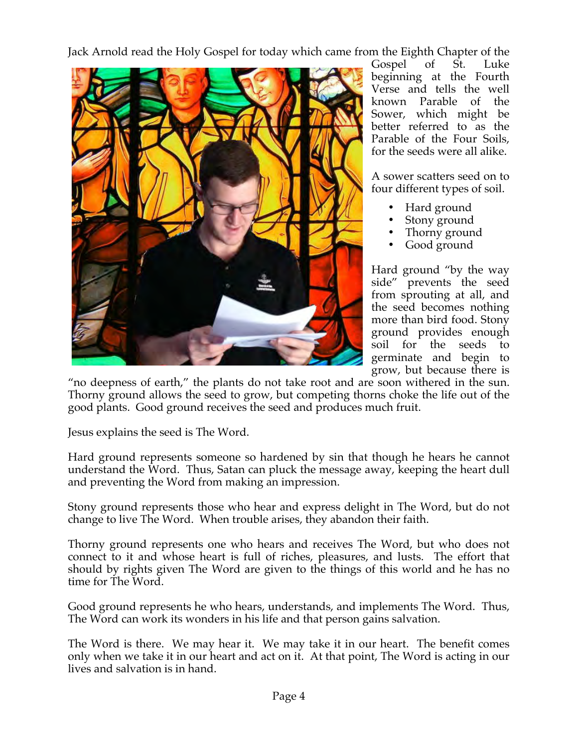Jack Arnold read the Holy Gospel for today which came from the Eighth Chapter of the



Gospel of St. Luke beginning at the Fourth Verse and tells the well known Parable of the Sower, which might be better referred to as the Parable of the Four Soils, for the seeds were all alike.

A sower scatters seed on to four different types of soil.

- Hard ground
- Stony ground
- Thorny ground
- Good ground

Hard ground "by the way side" prevents the seed from sprouting at all, and the seed becomes nothing more than bird food. Stony ground provides enough soil for the seeds to germinate and begin to grow, but because there is

"no deepness of earth," the plants do not take root and are soon withered in the sun. Thorny ground allows the seed to grow, but competing thorns choke the life out of the good plants. Good ground receives the seed and produces much fruit.

Jesus explains the seed is The Word.

Hard ground represents someone so hardened by sin that though he hears he cannot understand the Word. Thus, Satan can pluck the message away, keeping the heart dull and preventing the Word from making an impression.

Stony ground represents those who hear and express delight in The Word, but do not change to live The Word. When trouble arises, they abandon their faith.

Thorny ground represents one who hears and receives The Word, but who does not connect to it and whose heart is full of riches, pleasures, and lusts. The effort that should by rights given The Word are given to the things of this world and he has no time for The Word.

Good ground represents he who hears, understands, and implements The Word. Thus, The Word can work its wonders in his life and that person gains salvation.

The Word is there. We may hear it. We may take it in our heart. The benefit comes only when we take it in our heart and act on it. At that point, The Word is acting in our lives and salvation is in hand.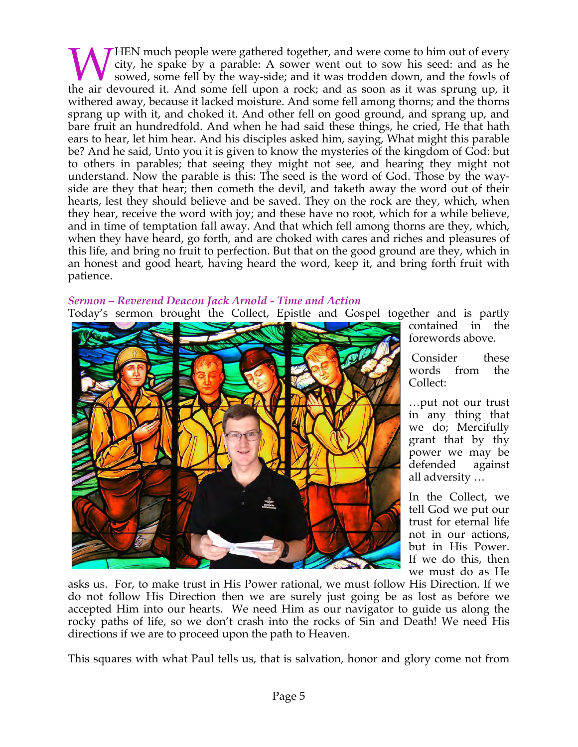HEN much people were gathered together, and were come to him out of every city, he spake by a parable: A sower went out to sow his seed: and as he sowed, some fell by the way-side; and it was trodden down, and the fowls of WHEN much people were gathered together, and were come to him out of every city, he spake by a parable: A sower went out to sow his seed: and as he sowed, some fell by the way-side; and it was trodden down, and the fowls o withered away, because it lacked moisture. And some fell among thorns; and the thorns sprang up with it, and choked it. And other fell on good ground, and sprang up, and bare fruit an hundredfold. And when he had said these things, he cried, He that hath ears to hear, let him hear. And his disciples asked him, saying, What might this parable be? And he said, Unto you it is given to know the mysteries of the kingdom of God: but to others in parables; that seeing they might not see, and hearing they might not understand. Now the parable is this: The seed is the word of God. Those by the wayside are they that hear; then cometh the devil, and taketh away the word out of their hearts, lest they should believe and be saved. They on the rock are they, which, when they hear, receive the word with joy; and these have no root, which for a while believe, and in time of temptation fall away. And that which fell among thorns are they, which, when they have heard, go forth, and are choked with cares and riches and pleasures of this life, and bring no fruit to perfection. But that on the good ground are they, which in an honest and good heart, having heard the word, keep it, and bring forth fruit with patience.

# *Sermon – Reverend Deacon Jack Arnold - Time and Action*

Today's sermon brought the Collect, Epistle and Gospel together and is partly



contained in the forewords above.

Consider these words from the Collect:

…put not our trust in any thing that we do; Mercifully grant that by thy power we may be defended against all adversity …

In the Collect, we tell God we put our trust for eternal life not in our actions, but in His Power. If we do this, then we must do as He

asks us. For, to make trust in His Power rational, we must follow His Direction. If we do not follow His Direction then we are surely just going be as lost as before we accepted Him into our hearts. We need Him as our navigator to guide us along the rocky paths of life, so we don't crash into the rocks of Sin and Death! We need His directions if we are to proceed upon the path to Heaven.

This squares with what Paul tells us, that is salvation, honor and glory come not from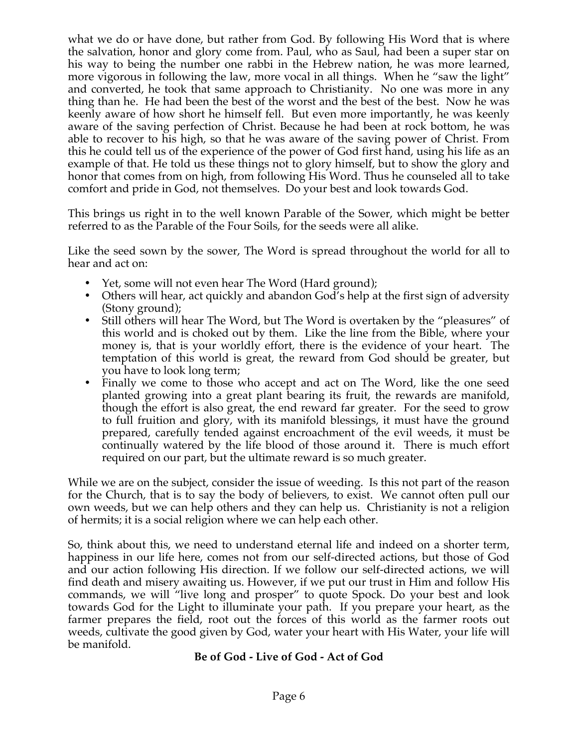what we do or have done, but rather from God. By following His Word that is where the salvation, honor and glory come from. Paul, who as Saul, had been a super star on his way to being the number one rabbi in the Hebrew nation, he was more learned, more vigorous in following the law, more vocal in all things. When he "saw the light" and converted, he took that same approach to Christianity. No one was more in any thing than he. He had been the best of the worst and the best of the best. Now he was keenly aware of how short he himself fell. But even more importantly, he was keenly aware of the saving perfection of Christ. Because he had been at rock bottom, he was able to recover to his high, so that he was aware of the saving power of Christ. From this he could tell us of the experience of the power of God first hand, using his life as an example of that. He told us these things not to glory himself, but to show the glory and honor that comes from on high, from following His Word. Thus he counseled all to take comfort and pride in God, not themselves. Do your best and look towards God.

This brings us right in to the well known Parable of the Sower, which might be better referred to as the Parable of the Four Soils, for the seeds were all alike.

Like the seed sown by the sower, The Word is spread throughout the world for all to hear and act on:

- Yet, some will not even hear The Word (Hard ground);
- Others will hear, act quickly and abandon God's help at the first sign of adversity (Stony ground);
- Still others will hear The Word, but The Word is overtaken by the "pleasures" of this world and is choked out by them. Like the line from the Bible, where your money is, that is your worldly effort, there is the evidence of your heart. The temptation of this world is great, the reward from God should be greater, but you have to look long term;
- Finally we come to those who accept and act on The Word, like the one seed planted growing into a great plant bearing its fruit, the rewards are manifold, though the effort is also great, the end reward far greater. For the seed to grow to full fruition and glory, with its manifold blessings, it must have the ground prepared, carefully tended against encroachment of the evil weeds, it must be continually watered by the life blood of those around it. There is much effort required on our part, but the ultimate reward is so much greater.

While we are on the subject, consider the issue of weeding. Is this not part of the reason for the Church, that is to say the body of believers, to exist. We cannot often pull our own weeds, but we can help others and they can help us. Christianity is not a religion of hermits; it is a social religion where we can help each other.

So, think about this, we need to understand eternal life and indeed on a shorter term, happiness in our life here, comes not from our self-directed actions, but those of God and our action following His direction. If we follow our self-directed actions, we will find death and misery awaiting us. However, if we put our trust in Him and follow His commands, we will "live long and prosper" to quote Spock. Do your best and look towards God for the Light to illuminate your path. If you prepare your heart, as the farmer prepares the field, root out the forces of this world as the farmer roots out weeds, cultivate the good given by God, water your heart with His Water, your life will be manifold.

## **Be of God - Live of God - Act of God**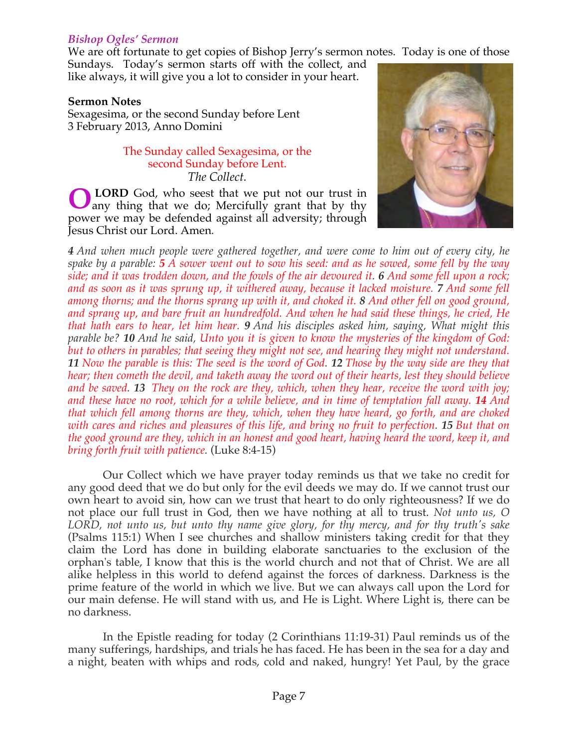## *Bishop Ogles' Sermon*

We are oft fortunate to get copies of Bishop Jerry's sermon notes. Today is one of those

Sundays. Today's sermon starts off with the collect, and like always, it will give you a lot to consider in your heart.

#### **Sermon Notes**

Sexagesima, or the second Sunday before Lent 3 February 2013, Anno Domini

#### The Sunday called Sexagesima, or the second Sunday before Lent. *The Collect.*

 **LORD** God, who seest that we put not our trust in any thing that we do; Mercifully grant that by thy power we may be defended against all adversity; through Jesus Christ our Lord. Amen*.* **O**



*4 And when much people were gathered together, and were come to him out of every city, he spake by a parable: 5 A sower went out to sow his seed: and as he sowed, some fell by the way side; and it was trodden down, and the fowls of the air devoured it. 6 And some fell upon a rock; and as soon as it was sprung up, it withered away, because it lacked moisture. 7 And some fell among thorns; and the thorns sprang up with it, and choked it. 8 And other fell on good ground, and sprang up, and bare fruit an hundredfold. And when he had said these things, he cried, He that hath ears to hear, let him hear. 9 And his disciples asked him, saying, What might this parable be? 10 And he said, Unto you it is given to know the mysteries of the kingdom of God: but to others in parables; that seeing they might not see, and hearing they might not understand. 11 Now the parable is this: The seed is the word of God. 12 Those by the way side are they that hear; then cometh the devil, and taketh away the word out of their hearts, lest they should believe and be saved. 13 They on the rock are they, which, when they hear, receive the word with joy; and these have no root, which for a while believe, and in time of temptation fall away. 14 And that which fell among thorns are they, which, when they have heard, go forth, and are choked with cares and riches and pleasures of this life, and bring no fruit to perfection. 15 But that on the good ground are they, which in an honest and good heart, having heard the word, keep it, and bring forth fruit with patience.* (Luke 8:4-15)

 Our Collect which we have prayer today reminds us that we take no credit for any good deed that we do but only for the evil deeds we may do. If we cannot trust our own heart to avoid sin, how can we trust that heart to do only righteousness? If we do not place our full trust in God, then we have nothing at all to trust. *Not unto us, O LORD, not unto us, but unto thy name give glory, for thy mercy, and for thy truth's sake* (Psalms 115:1) When I see churches and shallow ministers taking credit for that they claim the Lord has done in building elaborate sanctuaries to the exclusion of the orphan's table, I know that this is the world church and not that of Christ. We are all alike helpless in this world to defend against the forces of darkness. Darkness is the prime feature of the world in which we live. But we can always call upon the Lord for our main defense. He will stand with us, and He is Light. Where Light is, there can be no darkness.

 In the Epistle reading for today (2 Corinthians 11:19-31) Paul reminds us of the many sufferings, hardships, and trials he has faced. He has been in the sea for a day and a night, beaten with whips and rods, cold and naked, hungry! Yet Paul, by the grace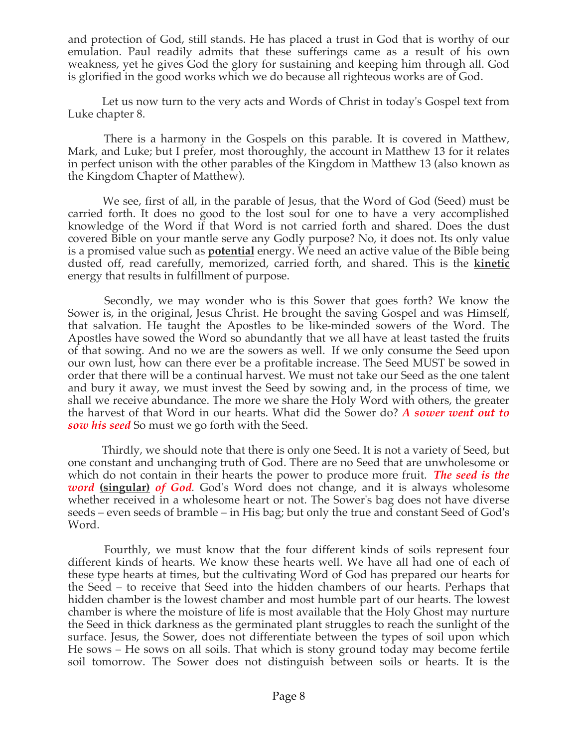and protection of God, still stands. He has placed a trust in God that is worthy of our emulation. Paul readily admits that these sufferings came as a result of his own weakness, yet he gives God the glory for sustaining and keeping him through all. God is glorified in the good works which we do because all righteous works are of God.

 Let us now turn to the very acts and Words of Christ in today's Gospel text from Luke chapter 8.

 There is a harmony in the Gospels on this parable. It is covered in Matthew, Mark, and Luke; but I prefer, most thoroughly, the account in Matthew 13 for it relates in perfect unison with the other parables of the Kingdom in Matthew 13 (also known as the Kingdom Chapter of Matthew).

 We see, first of all, in the parable of Jesus, that the Word of God (Seed) must be carried forth. It does no good to the lost soul for one to have a very accomplished knowledge of the Word if that Word is not carried forth and shared. Does the dust covered Bible on your mantle serve any Godly purpose? No, it does not. Its only value is a promised value such as **potential** energy. We need an active value of the Bible being dusted off, read carefully, memorized, carried forth, and shared. This is the **kinetic**  energy that results in fulfillment of purpose.

 Secondly, we may wonder who is this Sower that goes forth? We know the Sower is, in the original, Jesus Christ. He brought the saving Gospel and was Himself, that salvation. He taught the Apostles to be like-minded sowers of the Word. The Apostles have sowed the Word so abundantly that we all have at least tasted the fruits of that sowing. And no we are the sowers as well. If we only consume the Seed upon our own lust, how can there ever be a profitable increase. The Seed MUST be sowed in order that there will be a continual harvest. We must not take our Seed as the one talent and bury it away, we must invest the Seed by sowing and, in the process of time, we shall we receive abundance. The more we share the Holy Word with others, the greater the harvest of that Word in our hearts. What did the Sower do? *A sower went out to sow his seed* So must we go forth with the Seed.

 Thirdly, we should note that there is only one Seed. It is not a variety of Seed, but one constant and unchanging truth of God. There are no Seed that are unwholesome or which do not contain in their hearts the power to produce more fruit. *The seed is the word* **(singular)** *of God.* God's Word does not change, and it is always wholesome whether received in a wholesome heart or not. The Sower's bag does not have diverse seeds – even seeds of bramble – in His bag; but only the true and constant Seed of God's Word.

 Fourthly, we must know that the four different kinds of soils represent four different kinds of hearts. We know these hearts well. We have all had one of each of these type hearts at times, but the cultivating Word of God has prepared our hearts for the Seed – to receive that Seed into the hidden chambers of our hearts. Perhaps that hidden chamber is the lowest chamber and most humble part of our hearts. The lowest chamber is where the moisture of life is most available that the Holy Ghost may nurture the Seed in thick darkness as the germinated plant struggles to reach the sunlight of the surface. Jesus, the Sower, does not differentiate between the types of soil upon which He sows – He sows on all soils. That which is stony ground today may become fertile soil tomorrow. The Sower does not distinguish between soils or hearts. It is the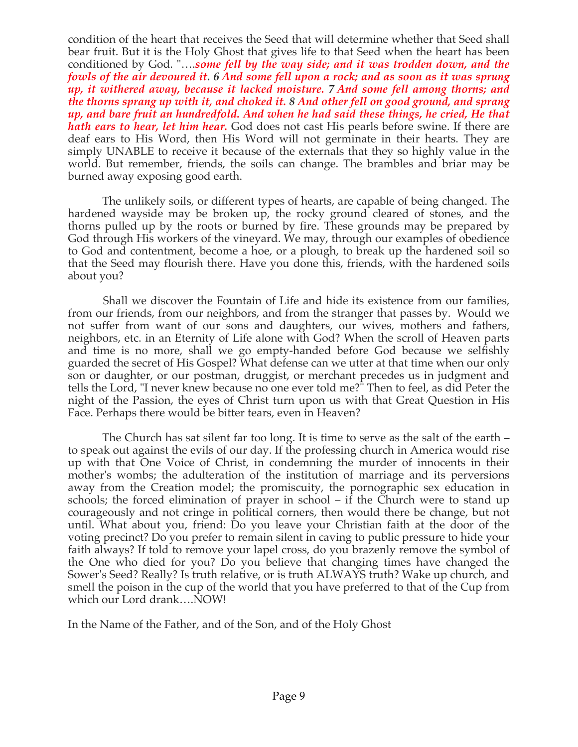condition of the heart that receives the Seed that will determine whether that Seed shall bear fruit. But it is the Holy Ghost that gives life to that Seed when the heart has been conditioned by God. "….*some fell by the way side; and it was trodden down, and the fowls of the air devoured it. 6 And some fell upon a rock; and as soon as it was sprung up, it withered away, because it lacked moisture. 7 And some fell among thorns; and the thorns sprang up with it, and choked it. 8 And other fell on good ground, and sprang up, and bare fruit an hundredfold. And when he had said these things, he cried, He that hath ears to hear, let him hear.* God does not cast His pearls before swine. If there are deaf ears to His Word, then His Word will not germinate in their hearts. They are simply UNABLE to receive it because of the externals that they so highly value in the world. But remember, friends, the soils can change. The brambles and briar may be burned away exposing good earth.

 The unlikely soils, or different types of hearts, are capable of being changed. The hardened wayside may be broken up, the rocky ground cleared of stones, and the thorns pulled up by the roots or burned by fire. These grounds may be prepared by God through His workers of the vineyard. We may, through our examples of obedience to God and contentment, become a hoe, or a plough, to break up the hardened soil so that the Seed may flourish there. Have you done this, friends, with the hardened soils about you?

 Shall we discover the Fountain of Life and hide its existence from our families, from our friends, from our neighbors, and from the stranger that passes by. Would we not suffer from want of our sons and daughters, our wives, mothers and fathers, neighbors, etc. in an Eternity of Life alone with God? When the scroll of Heaven parts and time is no more, shall we go empty-handed before God because we selfishly guarded the secret of His Gospel? What defense can we utter at that time when our only son or daughter, or our postman, druggist, or merchant precedes us in judgment and tells the Lord, "I never knew because no one ever told me?" Then to feel, as did Peter the night of the Passion, the eyes of Christ turn upon us with that Great Question in His Face. Perhaps there would be bitter tears, even in Heaven?

 The Church has sat silent far too long. It is time to serve as the salt of the earth – to speak out against the evils of our day. If the professing church in America would rise up with that One Voice of Christ, in condemning the murder of innocents in their mother's wombs; the adulteration of the institution of marriage and its perversions away from the Creation model; the promiscuity, the pornographic sex education in schools; the forced elimination of prayer in school – if the Church were to stand up courageously and not cringe in political corners, then would there be change, but not until. What about you, friend: Do you leave your Christian faith at the door of the voting precinct? Do you prefer to remain silent in caving to public pressure to hide your faith always? If told to remove your lapel cross, do you brazenly remove the symbol of the One who died for you? Do you believe that changing times have changed the Sower's Seed? Really? Is truth relative, or is truth ALWAYS truth? Wake up church, and smell the poison in the cup of the world that you have preferred to that of the Cup from which our Lord drank….NOW!

In the Name of the Father, and of the Son, and of the Holy Ghost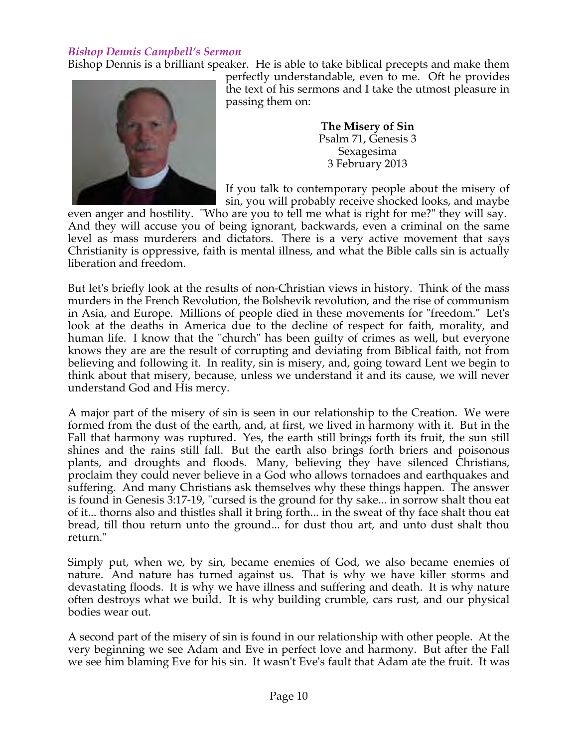## *Bishop Dennis Campbell's Sermon*

Bishop Dennis is a brilliant speaker. He is able to take biblical precepts and make them



perfectly understandable, even to me. Oft he provides the text of his sermons and I take the utmost pleasure in passing them on:

> **The Misery of Sin** Psalm 71, Genesis 3 Sexagesima 3 February 2013

If you talk to contemporary people about the misery of sin, you will probably receive shocked looks, and maybe

even anger and hostility. "Who are you to tell me what is right for me?" they will say. And they will accuse you of being ignorant, backwards, even a criminal on the same level as mass murderers and dictators. There is a very active movement that says Christianity is oppressive, faith is mental illness, and what the Bible calls sin is actually liberation and freedom.

But let's briefly look at the results of non-Christian views in history. Think of the mass murders in the French Revolution, the Bolshevik revolution, and the rise of communism in Asia, and Europe. Millions of people died in these movements for "freedom." Let's look at the deaths in America due to the decline of respect for faith, morality, and human life. I know that the "church" has been guilty of crimes as well, but everyone knows they are are the result of corrupting and deviating from Biblical faith, not from believing and following it. In reality, sin is misery, and, going toward Lent we begin to think about that misery, because, unless we understand it and its cause, we will never understand God and His mercy.

A major part of the misery of sin is seen in our relationship to the Creation. We were formed from the dust of the earth, and, at first, we lived in harmony with it. But in the Fall that harmony was ruptured. Yes, the earth still brings forth its fruit, the sun still shines and the rains still fall. But the earth also brings forth briers and poisonous plants, and droughts and floods. Many, believing they have silenced Christians, proclaim they could never believe in a God who allows tornadoes and earthquakes and suffering. And many Christians ask themselves why these things happen. The answer is found in Genesis 3:17-19, "cursed is the ground for thy sake... in sorrow shalt thou eat of it... thorns also and thistles shall it bring forth... in the sweat of thy face shalt thou eat bread, till thou return unto the ground... for dust thou art, and unto dust shalt thou return."

Simply put, when we, by sin, became enemies of God, we also became enemies of nature. And nature has turned against us. That is why we have killer storms and devastating floods. It is why we have illness and suffering and death. It is why nature often destroys what we build. It is why building crumble, cars rust, and our physical bodies wear out.

A second part of the misery of sin is found in our relationship with other people. At the very beginning we see Adam and Eve in perfect love and harmony. But after the Fall we see him blaming Eve for his sin. It wasn't Eve's fault that Adam ate the fruit. It was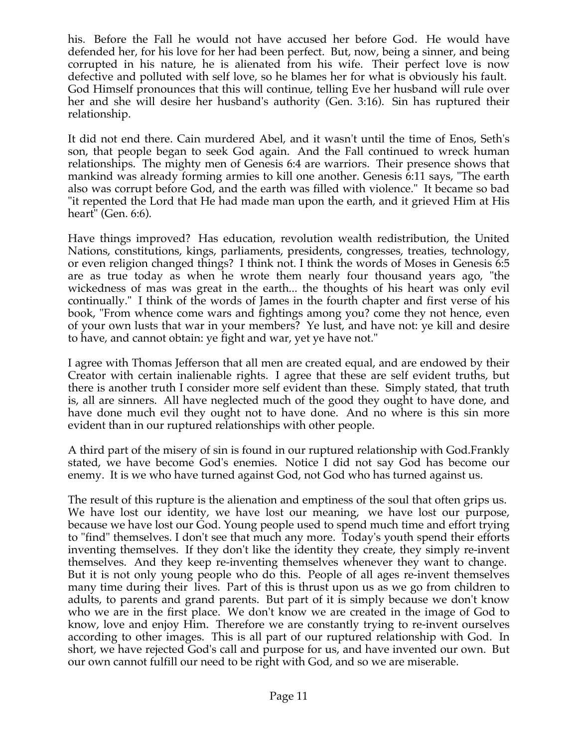his. Before the Fall he would not have accused her before God. He would have defended her, for his love for her had been perfect. But, now, being a sinner, and being corrupted in his nature, he is alienated from his wife. Their perfect love is now defective and polluted with self love, so he blames her for what is obviously his fault. God Himself pronounces that this will continue, telling Eve her husband will rule over her and she will desire her husband's authority (Gen. 3:16). Sin has ruptured their relationship.

It did not end there. Cain murdered Abel, and it wasn't until the time of Enos, Seth's son, that people began to seek God again. And the Fall continued to wreck human relationships. The mighty men of Genesis 6:4 are warriors. Their presence shows that mankind was already forming armies to kill one another. Genesis 6:11 says, "The earth also was corrupt before God, and the earth was filled with violence." It became so bad "it repented the Lord that He had made man upon the earth, and it grieved Him at His heart" (Gen. 6:6).

Have things improved? Has education, revolution wealth redistribution, the United Nations, constitutions, kings, parliaments, presidents, congresses, treaties, technology, or even religion changed things? I think not. I think the words of Moses in Genesis 6:5 are as true today as when he wrote them nearly four thousand years ago, "the wickedness of mas was great in the earth... the thoughts of his heart was only evil continually." I think of the words of James in the fourth chapter and first verse of his book, "From whence come wars and fightings among you? come they not hence, even of your own lusts that war in your members? Ye lust, and have not: ye kill and desire to have, and cannot obtain: ye fight and war, yet ye have not."

I agree with Thomas Jefferson that all men are created equal, and are endowed by their Creator with certain inalienable rights. I agree that these are self evident truths, but there is another truth I consider more self evident than these. Simply stated, that truth is, all are sinners. All have neglected much of the good they ought to have done, and have done much evil they ought not to have done. And no where is this sin more evident than in our ruptured relationships with other people.

A third part of the misery of sin is found in our ruptured relationship with God.Frankly stated, we have become God's enemies. Notice I did not say God has become our enemy. It is we who have turned against God, not God who has turned against us.

The result of this rupture is the alienation and emptiness of the soul that often grips us. We have lost our identity, we have lost our meaning, we have lost our purpose, because we have lost our God. Young people used to spend much time and effort trying to "find" themselves. I don't see that much any more. Today's youth spend their efforts inventing themselves. If they don't like the identity they create, they simply re-invent themselves. And they keep re-inventing themselves whenever they want to change. But it is not only young people who do this. People of all ages re-invent themselves many time during their lives. Part of this is thrust upon us as we go from children to adults, to parents and grand parents. But part of it is simply because we don't know who we are in the first place. We don't know we are created in the image of God to know, love and enjoy Him. Therefore we are constantly trying to re-invent ourselves according to other images. This is all part of our ruptured relationship with God. In short, we have rejected God's call and purpose for us, and have invented our own. But our own cannot fulfill our need to be right with God, and so we are miserable.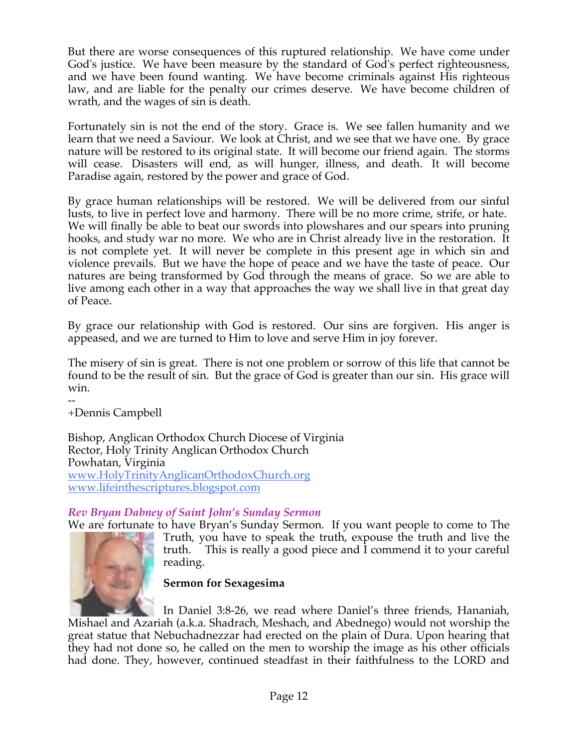But there are worse consequences of this ruptured relationship. We have come under God's justice. We have been measure by the standard of God's perfect righteousness, and we have been found wanting. We have become criminals against His righteous law, and are liable for the penalty our crimes deserve. We have become children of wrath, and the wages of sin is death.

Fortunately sin is not the end of the story. Grace is. We see fallen humanity and we learn that we need a Saviour. We look at Christ, and we see that we have one. By grace nature will be restored to its original state. It will become our friend again. The storms will cease. Disasters will end, as will hunger, illness, and death. It will become Paradise again, restored by the power and grace of God.

By grace human relationships will be restored. We will be delivered from our sinful lusts, to live in perfect love and harmony. There will be no more crime, strife, or hate. We will finally be able to beat our swords into plowshares and our spears into pruning hooks, and study war no more. We who are in Christ already live in the restoration. It is not complete yet. It will never be complete in this present age in which sin and violence prevails. But we have the hope of peace and we have the taste of peace. Our natures are being transformed by God through the means of grace. So we are able to live among each other in a way that approaches the way we shall live in that great day of Peace.

By grace our relationship with God is restored. Our sins are forgiven. His anger is appeased, and we are turned to Him to love and serve Him in joy forever.

The misery of sin is great. There is not one problem or sorrow of this life that cannot be found to be the result of sin. But the grace of God is greater than our sin. His grace will win.

-- +Dennis Campbell

Bishop, Anglican Orthodox Church Diocese of Virginia Rector, Holy Trinity Anglican Orthodox Church Powhatan, Virginia www.HolyTrinityAnglicanOrthodoxChurch.org www.lifeinthescriptures.blogspot.com

## *Rev Bryan Dabney of Saint John's Sunday Sermon*

We are fortunate to have Bryan's Sunday Sermon. If you want people to come to The Truth, you have to speak the truth, expouse the truth and live the truth. This is really a good piece and I commend it to your careful reading.



In Daniel 3:8-26, we read where Daniel's three friends, Hananiah, Mishael and Azariah (a.k.a. Shadrach, Meshach, and Abednego) would not worship the great statue that Nebuchadnezzar had erected on the plain of Dura. Upon hearing that they had not done so, he called on the men to worship the image as his other officials had done. They, however, continued steadfast in their faithfulness to the LORD and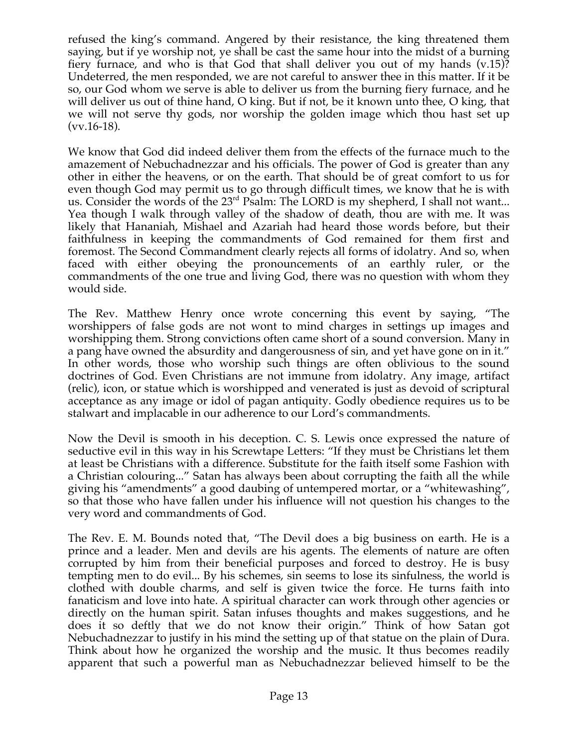refused the king's command. Angered by their resistance, the king threatened them saying, but if ye worship not, ye shall be cast the same hour into the midst of a burning fiery furnace, and who is that God that shall deliver you out of my hands (v.15)? Undeterred, the men responded, we are not careful to answer thee in this matter. If it be so, our God whom we serve is able to deliver us from the burning fiery furnace, and he will deliver us out of thine hand, O king. But if not, be it known unto thee, O king, that we will not serve thy gods, nor worship the golden image which thou hast set up  $(vv.16-18)$ .

We know that God did indeed deliver them from the effects of the furnace much to the amazement of Nebuchadnezzar and his officials. The power of God is greater than any other in either the heavens, or on the earth. That should be of great comfort to us for even though God may permit us to go through difficult times, we know that he is with us. Consider the words of the 23<sup>rd</sup> Psalm: The LORD is my shepherd, I shall not want... Yea though I walk through valley of the shadow of death, thou are with me. It was likely that Hananiah, Mishael and Azariah had heard those words before, but their faithfulness in keeping the commandments of God remained for them first and foremost. The Second Commandment clearly rejects all forms of idolatry. And so, when faced with either obeying the pronouncements of an earthly ruler, or the commandments of the one true and living God, there was no question with whom they would side.

The Rev. Matthew Henry once wrote concerning this event by saying, "The worshippers of false gods are not wont to mind charges in settings up images and worshipping them. Strong convictions often came short of a sound conversion. Many in a pang have owned the absurdity and dangerousness of sin, and yet have gone on in it." In other words, those who worship such things are often oblivious to the sound doctrines of God. Even Christians are not immune from idolatry. Any image, artifact (relic), icon, or statue which is worshipped and venerated is just as devoid of scriptural acceptance as any image or idol of pagan antiquity. Godly obedience requires us to be stalwart and implacable in our adherence to our Lord's commandments.

Now the Devil is smooth in his deception. C. S. Lewis once expressed the nature of seductive evil in this way in his Screwtape Letters: "If they must be Christians let them at least be Christians with a difference. Substitute for the faith itself some Fashion with a Christian colouring..." Satan has always been about corrupting the faith all the while giving his "amendments" a good daubing of untempered mortar, or a "whitewashing", so that those who have fallen under his influence will not question his changes to the very word and commandments of God.

The Rev. E. M. Bounds noted that, "The Devil does a big business on earth. He is a prince and a leader. Men and devils are his agents. The elements of nature are often corrupted by him from their beneficial purposes and forced to destroy. He is busy tempting men to do evil... By his schemes, sin seems to lose its sinfulness, the world is clothed with double charms, and self is given twice the force. He turns faith into fanaticism and love into hate. A spiritual character can work through other agencies or directly on the human spirit. Satan infuses thoughts and makes suggestions, and he does it so deftly that we do not know their origin." Think of how Satan got Nebuchadnezzar to justify in his mind the setting up of that statue on the plain of Dura. Think about how he organized the worship and the music. It thus becomes readily apparent that such a powerful man as Nebuchadnezzar believed himself to be the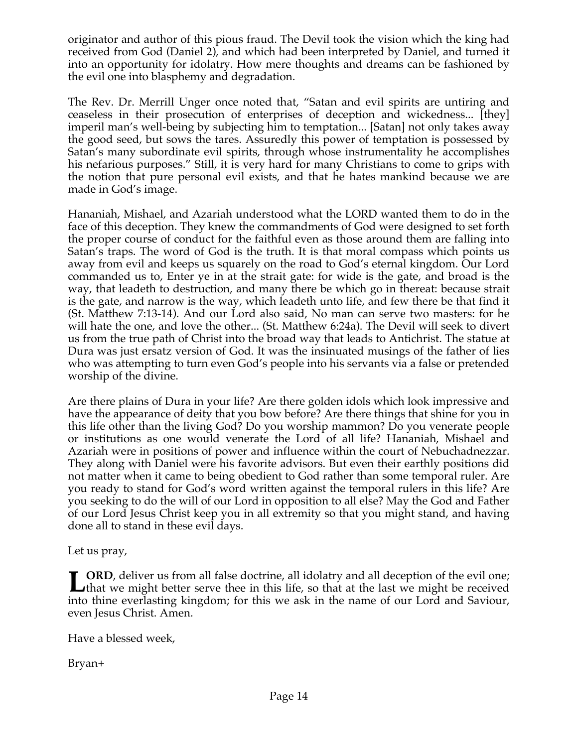originator and author of this pious fraud. The Devil took the vision which the king had received from God (Daniel 2), and which had been interpreted by Daniel, and turned it into an opportunity for idolatry. How mere thoughts and dreams can be fashioned by the evil one into blasphemy and degradation.

The Rev. Dr. Merrill Unger once noted that, "Satan and evil spirits are untiring and ceaseless in their prosecution of enterprises of deception and wickedness... [they] imperil man's well-being by subjecting him to temptation... [Satan] not only takes away the good seed, but sows the tares. Assuredly this power of temptation is possessed by Satan's many subordinate evil spirits, through whose instrumentality he accomplishes his nefarious purposes." Still, it is very hard for many Christians to come to grips with the notion that pure personal evil exists, and that he hates mankind because we are made in God's image.

Hananiah, Mishael, and Azariah understood what the LORD wanted them to do in the face of this deception. They knew the commandments of God were designed to set forth the proper course of conduct for the faithful even as those around them are falling into Satan's traps. The word of God is the truth. It is that moral compass which points us away from evil and keeps us squarely on the road to God's eternal kingdom. Our Lord commanded us to, Enter ye in at the strait gate: for wide is the gate, and broad is the way, that leadeth to destruction, and many there be which go in thereat: because strait is the gate, and narrow is the way, which leadeth unto life, and few there be that find it (St. Matthew 7:13-14). And our Lord also said, No man can serve two masters: for he will hate the one, and love the other... (St. Matthew 6:24a). The Devil will seek to divert us from the true path of Christ into the broad way that leads to Antichrist. The statue at Dura was just ersatz version of God. It was the insinuated musings of the father of lies who was attempting to turn even God's people into his servants via a false or pretended worship of the divine.

Are there plains of Dura in your life? Are there golden idols which look impressive and have the appearance of deity that you bow before? Are there things that shine for you in this life other than the living God? Do you worship mammon? Do you venerate people or institutions as one would venerate the Lord of all life? Hananiah, Mishael and Azariah were in positions of power and influence within the court of Nebuchadnezzar. They along with Daniel were his favorite advisors. But even their earthly positions did not matter when it came to being obedient to God rather than some temporal ruler. Are you ready to stand for God's word written against the temporal rulers in this life? Are you seeking to do the will of our Lord in opposition to all else? May the God and Father of our Lord Jesus Christ keep you in all extremity so that you might stand, and having done all to stand in these evil days.

Let us pray,

**CORD**, deliver us from all false doctrine, all idolatry and all deception of the evil one; **L** ORD, deliver us from all false doctrine, all idolatry and all deception of the evil one;<br>
that we might better serve thee in this life, so that at the last we might be received<br>
in the distribution of the distribution into thine everlasting kingdom; for this we ask in the name of our Lord and Saviour, even Jesus Christ. Amen.

Have a blessed week,

Bryan+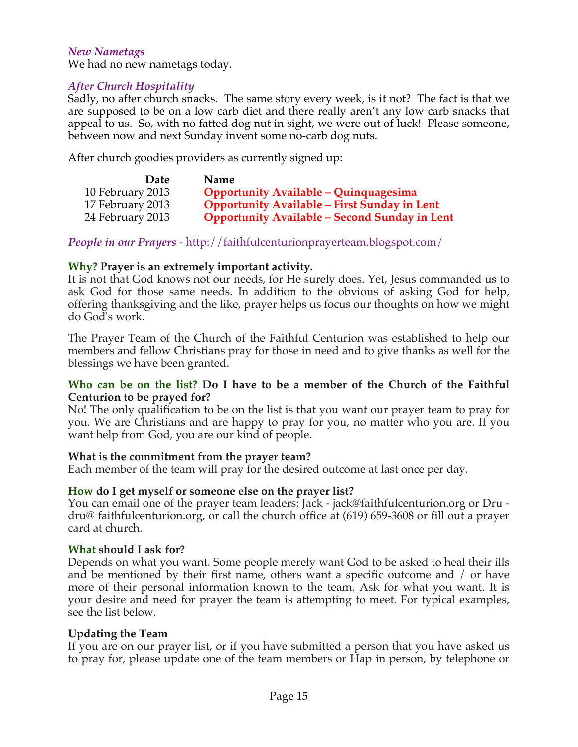## *New Nametags*

We had no new nametags today.

## *After Church Hospitality*

Sadly, no after church snacks. The same story every week, is it not? The fact is that we are supposed to be on a low carb diet and there really aren't any low carb snacks that appeal to us. So, with no fatted dog nut in sight, we were out of luck! Please someone, between now and next Sunday invent some no-carb dog nuts.

After church goodies providers as currently signed up:

|                  | <b>Date</b> | <b>Name</b>                                          |
|------------------|-------------|------------------------------------------------------|
| 10 February 2013 |             | <b>Opportunity Available - Quinquagesima</b>         |
| 17 February 2013 |             | <b>Opportunity Available - First Sunday in Lent</b>  |
| 24 February 2013 |             | <b>Opportunity Available - Second Sunday in Lent</b> |

*People in our Prayers* - http://faithfulcenturionprayerteam.blogspot.com/

## **Why? Prayer is an extremely important activity.**

It is not that God knows not our needs, for He surely does. Yet, Jesus commanded us to ask God for those same needs. In addition to the obvious of asking God for help, offering thanksgiving and the like, prayer helps us focus our thoughts on how we might do God's work.

The Prayer Team of the Church of the Faithful Centurion was established to help our members and fellow Christians pray for those in need and to give thanks as well for the blessings we have been granted.

#### **Who can be on the list? Do I have to be a member of the Church of the Faithful Centurion to be prayed for?**

No! The only qualification to be on the list is that you want our prayer team to pray for you. We are Christians and are happy to pray for you, no matter who you are. If you want help from God, you are our kind of people.

## **What is the commitment from the prayer team?**

Each member of the team will pray for the desired outcome at last once per day.

## **How do I get myself or someone else on the prayer list?**

You can email one of the prayer team leaders: Jack - jack@faithfulcenturion.org or Dru dru@ faithfulcenturion.org, or call the church office at (619) 659-3608 or fill out a prayer card at church.

#### **What should I ask for?**

Depends on what you want. Some people merely want God to be asked to heal their ills and be mentioned by their first name, others want a specific outcome and / or have more of their personal information known to the team. Ask for what you want. It is your desire and need for prayer the team is attempting to meet. For typical examples, see the list below.

## **Updating the Team**

If you are on our prayer list, or if you have submitted a person that you have asked us to pray for, please update one of the team members or Hap in person, by telephone or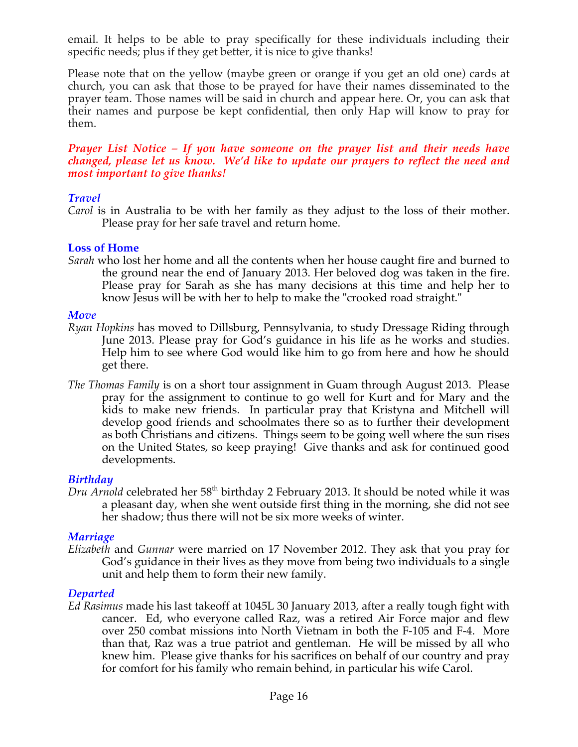email. It helps to be able to pray specifically for these individuals including their specific needs; plus if they get better, it is nice to give thanks!

Please note that on the yellow (maybe green or orange if you get an old one) cards at church, you can ask that those to be prayed for have their names disseminated to the prayer team. Those names will be said in church and appear here. Or, you can ask that their names and purpose be kept confidential, then only Hap will know to pray for them.

#### *Prayer List Notice – If you have someone on the prayer list and their needs have changed, please let us know. We'd like to update our prayers to reflect the need and most important to give thanks!*

## *Travel*

*Carol* is in Australia to be with her family as they adjust to the loss of their mother. Please pray for her safe travel and return home.

## **Loss of Home**

*Sarah* who lost her home and all the contents when her house caught fire and burned to the ground near the end of January 2013. Her beloved dog was taken in the fire. Please pray for Sarah as she has many decisions at this time and help her to know Jesus will be with her to help to make the "crooked road straight."

## *Move*

- *Ryan Hopkins* has moved to Dillsburg, Pennsylvania, to study Dressage Riding through June 2013. Please pray for God's guidance in his life as he works and studies. Help him to see where God would like him to go from here and how he should get there.
- *The Thomas Family* is on a short tour assignment in Guam through August 2013. Please pray for the assignment to continue to go well for Kurt and for Mary and the kids to make new friends. In particular pray that Kristyna and Mitchell will develop good friends and schoolmates there so as to further their development as both Christians and citizens. Things seem to be going well where the sun rises on the United States, so keep praying! Give thanks and ask for continued good developments.

## *Birthday*

*Dru Arnold* celebrated her 58<sup>th</sup> birthday 2 February 2013. It should be noted while it was a pleasant day, when she went outside first thing in the morning, she did not see her shadow; thus there will not be six more weeks of winter.

## *Marriage*

*Elizabeth* and *Gunnar* were married on 17 November 2012. They ask that you pray for God's guidance in their lives as they move from being two individuals to a single unit and help them to form their new family.

## *Departed*

*Ed Rasimus* made his last takeoff at 1045L 30 January 2013, after a really tough fight with cancer. Ed, who everyone called Raz, was a retired Air Force major and flew over 250 combat missions into North Vietnam in both the F-105 and F-4. More than that, Raz was a true patriot and gentleman. He will be missed by all who knew him. Please give thanks for his sacrifices on behalf of our country and pray for comfort for his family who remain behind, in particular his wife Carol.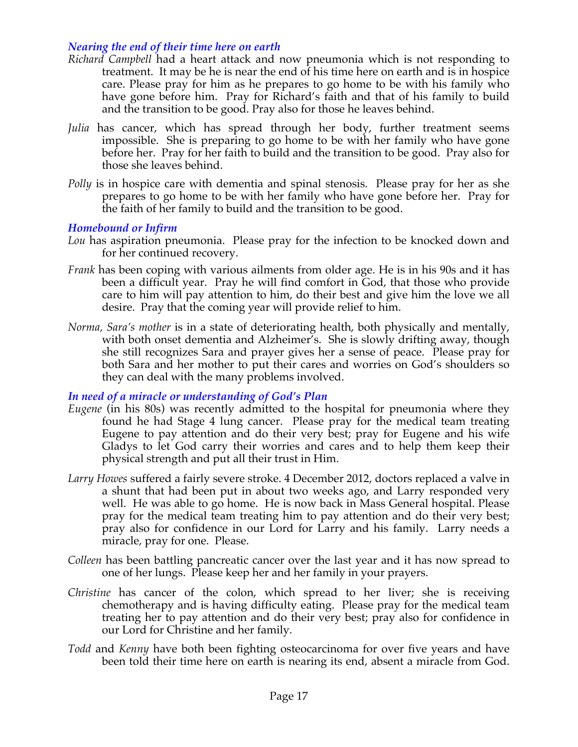## *Nearing the end of their time here on earth*

- *Richard Campbell* had a heart attack and now pneumonia which is not responding to treatment. It may be he is near the end of his time here on earth and is in hospice care. Please pray for him as he prepares to go home to be with his family who have gone before him. Pray for Richard's faith and that of his family to build and the transition to be good. Pray also for those he leaves behind.
- *Julia* has cancer, which has spread through her body, further treatment seems impossible. She is preparing to go home to be with her family who have gone before her. Pray for her faith to build and the transition to be good. Pray also for those she leaves behind.
- *Polly* is in hospice care with dementia and spinal stenosis. Please pray for her as she prepares to go home to be with her family who have gone before her. Pray for the faith of her family to build and the transition to be good.

## *Homebound or Infirm*

- *Lou* has aspiration pneumonia. Please pray for the infection to be knocked down and for her continued recovery.
- *Frank* has been coping with various ailments from older age. He is in his 90s and it has been a difficult year. Pray he will find comfort in God, that those who provide care to him will pay attention to him, do their best and give him the love we all desire. Pray that the coming year will provide relief to him.
- *Norma, Sara's mother* is in a state of deteriorating health, both physically and mentally, with both onset dementia and Alzheimer's. She is slowly drifting away, though she still recognizes Sara and prayer gives her a sense of peace. Please pray for both Sara and her mother to put their cares and worries on God's shoulders so they can deal with the many problems involved.

## *In need of a miracle or understanding of God's Plan*

- *Eugene* (in his 80s) was recently admitted to the hospital for pneumonia where they found he had Stage 4 lung cancer. Please pray for the medical team treating Eugene to pay attention and do their very best; pray for Eugene and his wife Gladys to let God carry their worries and cares and to help them keep their physical strength and put all their trust in Him.
- *Larry Howes* suffered a fairly severe stroke. 4 December 2012, doctors replaced a valve in a shunt that had been put in about two weeks ago, and Larry responded very well. He was able to go home. He is now back in Mass General hospital. Please pray for the medical team treating him to pay attention and do their very best; pray also for confidence in our Lord for Larry and his family. Larry needs a miracle, pray for one. Please.
- *Colleen* has been battling pancreatic cancer over the last year and it has now spread to one of her lungs. Please keep her and her family in your prayers.
- *Christine* has cancer of the colon, which spread to her liver; she is receiving chemotherapy and is having difficulty eating. Please pray for the medical team treating her to pay attention and do their very best; pray also for confidence in our Lord for Christine and her family.
- *Todd* and *Kenny* have both been fighting osteocarcinoma for over five years and have been told their time here on earth is nearing its end, absent a miracle from God.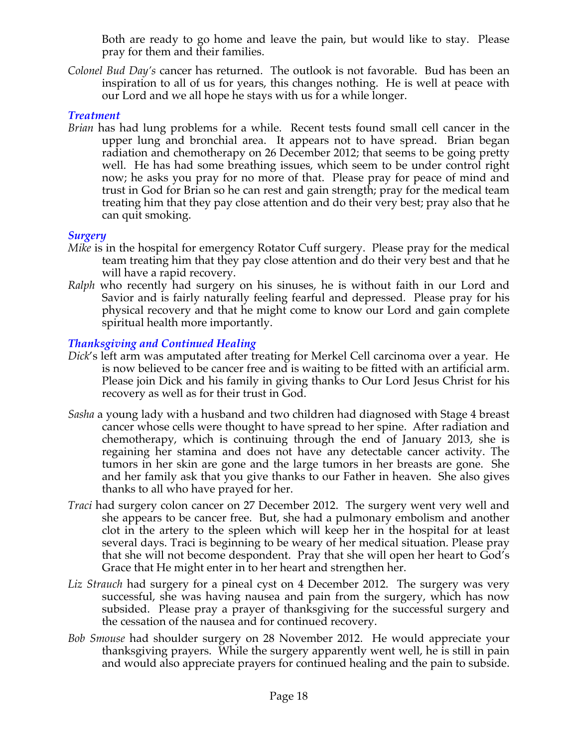Both are ready to go home and leave the pain, but would like to stay. Please pray for them and their families.

*Colonel Bud Day's* cancer has returned. The outlook is not favorable. Bud has been an inspiration to all of us for years, this changes nothing. He is well at peace with our Lord and we all hope he stays with us for a while longer.

## *Treatment*

*Brian* has had lung problems for a while. Recent tests found small cell cancer in the upper lung and bronchial area. It appears not to have spread. Brian began radiation and chemotherapy on 26 December 2012; that seems to be going pretty well. He has had some breathing issues, which seem to be under control right now; he asks you pray for no more of that. Please pray for peace of mind and trust in God for Brian so he can rest and gain strength; pray for the medical team treating him that they pay close attention and do their very best; pray also that he can quit smoking.

#### *Surgery*

- *Mike* is in the hospital for emergency Rotator Cuff surgery. Please pray for the medical team treating him that they pay close attention and do their very best and that he will have a rapid recovery.
- *Ralph* who recently had surgery on his sinuses, he is without faith in our Lord and Savior and is fairly naturally feeling fearful and depressed. Please pray for his physical recovery and that he might come to know our Lord and gain complete spiritual health more importantly.

## *Thanksgiving and Continued Healing*

- *Dick*'s left arm was amputated after treating for Merkel Cell carcinoma over a year. He is now believed to be cancer free and is waiting to be fitted with an artificial arm. Please join Dick and his family in giving thanks to Our Lord Jesus Christ for his recovery as well as for their trust in God.
- *Sasha* a young lady with a husband and two children had diagnosed with Stage 4 breast cancer whose cells were thought to have spread to her spine. After radiation and chemotherapy, which is continuing through the end of January 2013, she is regaining her stamina and does not have any detectable cancer activity. The tumors in her skin are gone and the large tumors in her breasts are gone. She and her family ask that you give thanks to our Father in heaven. She also gives thanks to all who have prayed for her.
- *Traci* had surgery colon cancer on 27 December 2012. The surgery went very well and she appears to be cancer free. But, she had a pulmonary embolism and another clot in the artery to the spleen which will keep her in the hospital for at least several days. Traci is beginning to be weary of her medical situation. Please pray that she will not become despondent. Pray that she will open her heart to God's Grace that He might enter in to her heart and strengthen her.
- *Liz Strauch* had surgery for a pineal cyst on 4 December 2012. The surgery was very successful, she was having nausea and pain from the surgery, which has now subsided. Please pray a prayer of thanksgiving for the successful surgery and the cessation of the nausea and for continued recovery.
- *Bob Smouse* had shoulder surgery on 28 November 2012. He would appreciate your thanksgiving prayers. While the surgery apparently went well, he is still in pain and would also appreciate prayers for continued healing and the pain to subside.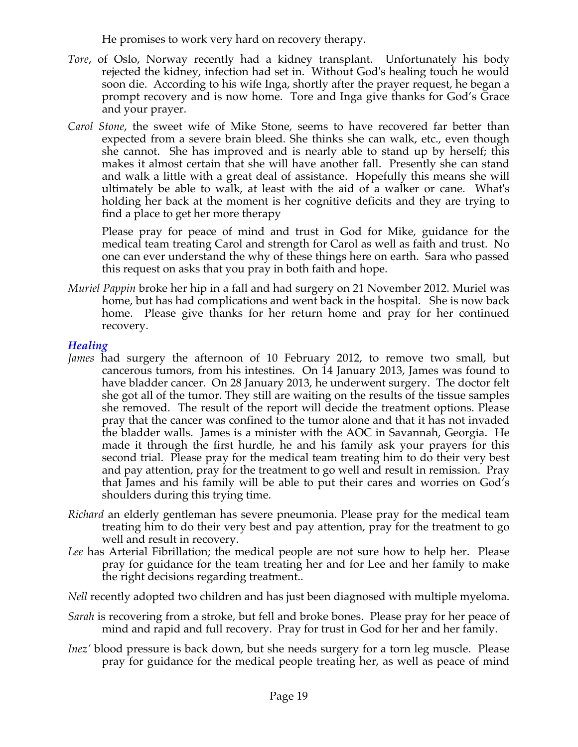He promises to work very hard on recovery therapy.

- *Tore*, of Oslo, Norway recently had a kidney transplant. Unfortunately his body rejected the kidney, infection had set in. Without God's healing touch he would soon die. According to his wife Inga, shortly after the prayer request, he began a prompt recovery and is now home. Tore and Inga give thanks for God's Grace and your prayer.
- *Carol Stone*, the sweet wife of Mike Stone, seems to have recovered far better than expected from a severe brain bleed. She thinks she can walk, etc., even though she cannot. She has improved and is nearly able to stand up by herself; this makes it almost certain that she will have another fall. Presently she can stand and walk a little with a great deal of assistance. Hopefully this means she will ultimately be able to walk, at least with the aid of a walker or cane. What's holding her back at the moment is her cognitive deficits and they are trying to find a place to get her more therapy

Please pray for peace of mind and trust in God for Mike, guidance for the medical team treating Carol and strength for Carol as well as faith and trust. No one can ever understand the why of these things here on earth. Sara who passed this request on asks that you pray in both faith and hope.

*Muriel Pappin* broke her hip in a fall and had surgery on 21 November 2012. Muriel was home, but has had complications and went back in the hospital. She is now back home. Please give thanks for her return home and pray for her continued recovery.

## *Healing*

- *James* had surgery the afternoon of 10 February 2012, to remove two small, but cancerous tumors, from his intestines. On 14 January 2013, James was found to have bladder cancer. On 28 January 2013, he underwent surgery. The doctor felt she got all of the tumor. They still are waiting on the results of the tissue samples she removed. The result of the report will decide the treatment options. Please pray that the cancer was confined to the tumor alone and that it has not invaded the bladder walls. James is a minister with the AOC in Savannah, Georgia. He made it through the first hurdle, he and his family ask your prayers for this second trial. Please pray for the medical team treating him to do their very best and pay attention, pray for the treatment to go well and result in remission. Pray that James and his family will be able to put their cares and worries on God's shoulders during this trying time.
- *Richard* an elderly gentleman has severe pneumonia. Please pray for the medical team treating him to do their very best and pay attention, pray for the treatment to go well and result in recovery.
- *Lee* has Arterial Fibrillation; the medical people are not sure how to help her. Please pray for guidance for the team treating her and for Lee and her family to make the right decisions regarding treatment..
- *Nell* recently adopted two children and has just been diagnosed with multiple myeloma.
- *Sarah* is recovering from a stroke, but fell and broke bones. Please pray for her peace of mind and rapid and full recovery. Pray for trust in God for her and her family.
- *Inez'* blood pressure is back down, but she needs surgery for a torn leg muscle. Please pray for guidance for the medical people treating her, as well as peace of mind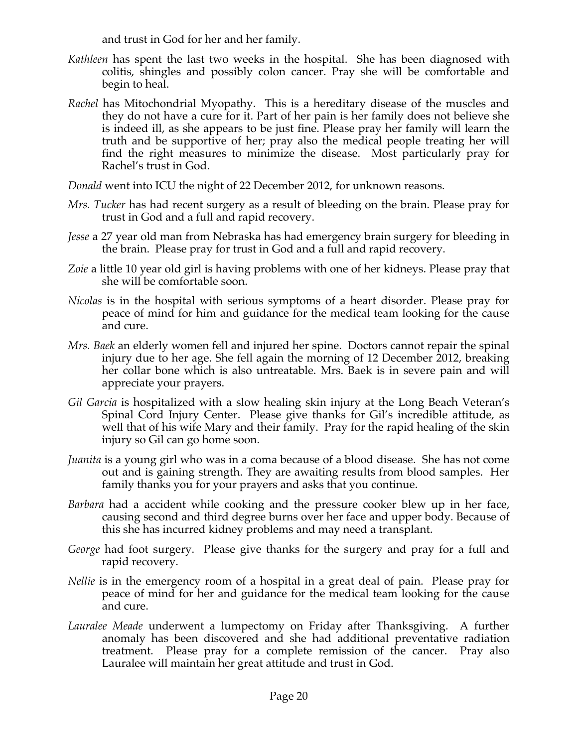and trust in God for her and her family.

- *Kathleen* has spent the last two weeks in the hospital. She has been diagnosed with colitis, shingles and possibly colon cancer. Pray she will be comfortable and begin to heal.
- *Rachel* has Mitochondrial Myopathy. This is a hereditary disease of the muscles and they do not have a cure for it. Part of her pain is her family does not believe she is indeed ill, as she appears to be just fine. Please pray her family will learn the truth and be supportive of her; pray also the medical people treating her will find the right measures to minimize the disease. Most particularly pray for Rachel's trust in God.

*Donald* went into ICU the night of 22 December 2012, for unknown reasons.

- *Mrs. Tucker* has had recent surgery as a result of bleeding on the brain. Please pray for trust in God and a full and rapid recovery.
- *Jesse* a 27 year old man from Nebraska has had emergency brain surgery for bleeding in the brain. Please pray for trust in God and a full and rapid recovery.
- *Zoie* a little 10 year old girl is having problems with one of her kidneys. Please pray that she will be comfortable soon.
- *Nicolas* is in the hospital with serious symptoms of a heart disorder. Please pray for peace of mind for him and guidance for the medical team looking for the cause and cure.
- *Mrs. Baek* an elderly women fell and injured her spine. Doctors cannot repair the spinal injury due to her age. She fell again the morning of 12 December 2012, breaking her collar bone which is also untreatable. Mrs. Baek is in severe pain and will appreciate your prayers.
- *Gil Garcia* is hospitalized with a slow healing skin injury at the Long Beach Veteran's Spinal Cord Injury Center. Please give thanks for Gil's incredible attitude, as well that of his wife Mary and their family. Pray for the rapid healing of the skin injury so Gil can go home soon.
- *Juanita* is a young girl who was in a coma because of a blood disease. She has not come out and is gaining strength. They are awaiting results from blood samples. Her family thanks you for your prayers and asks that you continue.
- *Barbara* had a accident while cooking and the pressure cooker blew up in her face, causing second and third degree burns over her face and upper body. Because of this she has incurred kidney problems and may need a transplant.
- *George* had foot surgery. Please give thanks for the surgery and pray for a full and rapid recovery.
- *Nellie* is in the emergency room of a hospital in a great deal of pain. Please pray for peace of mind for her and guidance for the medical team looking for the cause and cure.
- *Lauralee Meade* underwent a lumpectomy on Friday after Thanksgiving. A further anomaly has been discovered and she had additional preventative radiation treatment. Please pray for a complete remission of the cancer. Pray also Lauralee will maintain her great attitude and trust in God.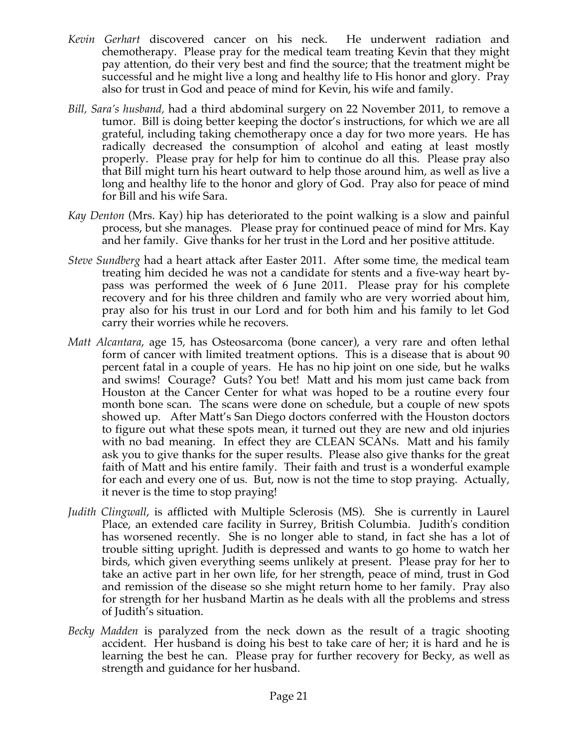- *Kevin Gerhart* discovered cancer on his neck. He underwent radiation and chemotherapy. Please pray for the medical team treating Kevin that they might pay attention, do their very best and find the source; that the treatment might be successful and he might live a long and healthy life to His honor and glory. Pray also for trust in God and peace of mind for Kevin, his wife and family.
- *Bill, Sara's husband,* had a third abdominal surgery on 22 November 2011, to remove a tumor. Bill is doing better keeping the doctor's instructions, for which we are all grateful, including taking chemotherapy once a day for two more years. He has radically decreased the consumption of alcohol and eating at least mostly properly. Please pray for help for him to continue do all this. Please pray also that Bill might turn his heart outward to help those around him, as well as live a long and healthy life to the honor and glory of God. Pray also for peace of mind for Bill and his wife Sara.
- *Kay Denton* (Mrs. Kay) hip has deteriorated to the point walking is a slow and painful process, but she manages. Please pray for continued peace of mind for Mrs. Kay and her family. Give thanks for her trust in the Lord and her positive attitude.
- *Steve Sundberg* had a heart attack after Easter 2011. After some time, the medical team treating him decided he was not a candidate for stents and a five-way heart bypass was performed the week of 6 June 2011. Please pray for his complete recovery and for his three children and family who are very worried about him, pray also for his trust in our Lord and for both him and his family to let God carry their worries while he recovers.
- *Matt Alcantara*, age 15, has Osteosarcoma (bone cancer), a very rare and often lethal form of cancer with limited treatment options. This is a disease that is about 90 percent fatal in a couple of years. He has no hip joint on one side, but he walks and swims! Courage? Guts? You bet! Matt and his mom just came back from Houston at the Cancer Center for what was hoped to be a routine every four month bone scan. The scans were done on schedule, but a couple of new spots showed up. After Matt's San Diego doctors conferred with the Houston doctors to figure out what these spots mean, it turned out they are new and old injuries with no bad meaning. In effect they are CLEAN SCANs. Matt and his family ask you to give thanks for the super results. Please also give thanks for the great faith of Matt and his entire family. Their faith and trust is a wonderful example for each and every one of us. But, now is not the time to stop praying. Actually, it never is the time to stop praying!
- *Judith Clingwall*, is afflicted with Multiple Sclerosis (MS). She is currently in Laurel Place, an extended care facility in Surrey, British Columbia. Judith's condition has worsened recently. She is no longer able to stand, in fact she has a lot of trouble sitting upright. Judith is depressed and wants to go home to watch her birds, which given everything seems unlikely at present. Please pray for her to take an active part in her own life, for her strength, peace of mind, trust in God and remission of the disease so she might return home to her family. Pray also for strength for her husband Martin as he deals with all the problems and stress of Judith's situation.
- *Becky Madden* is paralyzed from the neck down as the result of a tragic shooting accident. Her husband is doing his best to take care of her; it is hard and he is learning the best he can. Please pray for further recovery for Becky, as well as strength and guidance for her husband.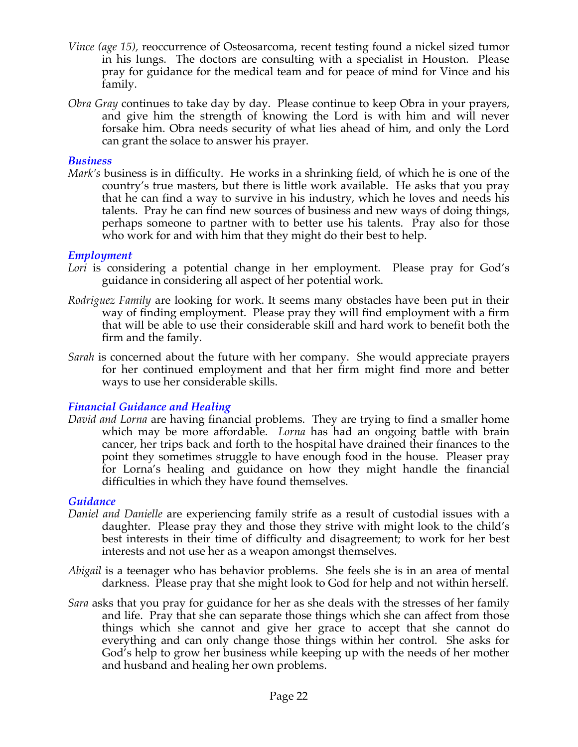- *Vince (age 15),* reoccurrence of Osteosarcoma, recent testing found a nickel sized tumor in his lungs. The doctors are consulting with a specialist in Houston. Please pray for guidance for the medical team and for peace of mind for Vince and his family.
- *Obra Gray* continues to take day by day. Please continue to keep Obra in your prayers, and give him the strength of knowing the Lord is with him and will never forsake him. Obra needs security of what lies ahead of him, and only the Lord can grant the solace to answer his prayer.

#### *Business*

*Mark's* business is in difficulty. He works in a shrinking field, of which he is one of the country's true masters, but there is little work available. He asks that you pray that he can find a way to survive in his industry, which he loves and needs his talents. Pray he can find new sources of business and new ways of doing things, perhaps someone to partner with to better use his talents. Pray also for those who work for and with him that they might do their best to help.

#### *Employment*

- *Lori* is considering a potential change in her employment. Please pray for God's guidance in considering all aspect of her potential work.
- *Rodriguez Family* are looking for work. It seems many obstacles have been put in their way of finding employment. Please pray they will find employment with a firm that will be able to use their considerable skill and hard work to benefit both the firm and the family.
- *Sarah* is concerned about the future with her company. She would appreciate prayers for her continued employment and that her firm might find more and better ways to use her considerable skills.

## *Financial Guidance and Healing*

*David and Lorna* are having financial problems. They are trying to find a smaller home which may be more affordable. *Lorna* has had an ongoing battle with brain cancer, her trips back and forth to the hospital have drained their finances to the point they sometimes struggle to have enough food in the house. Pleaser pray for Lorna's healing and guidance on how they might handle the financial difficulties in which they have found themselves.

#### *Guidance*

- *Daniel and Danielle* are experiencing family strife as a result of custodial issues with a daughter. Please pray they and those they strive with might look to the child's best interests in their time of difficulty and disagreement; to work for her best interests and not use her as a weapon amongst themselves.
- *Abigail* is a teenager who has behavior problems. She feels she is in an area of mental darkness. Please pray that she might look to God for help and not within herself.
- *Sara* asks that you pray for guidance for her as she deals with the stresses of her family and life. Pray that she can separate those things which she can affect from those things which she cannot and give her grace to accept that she cannot do everything and can only change those things within her control. She asks for God's help to grow her business while keeping up with the needs of her mother and husband and healing her own problems.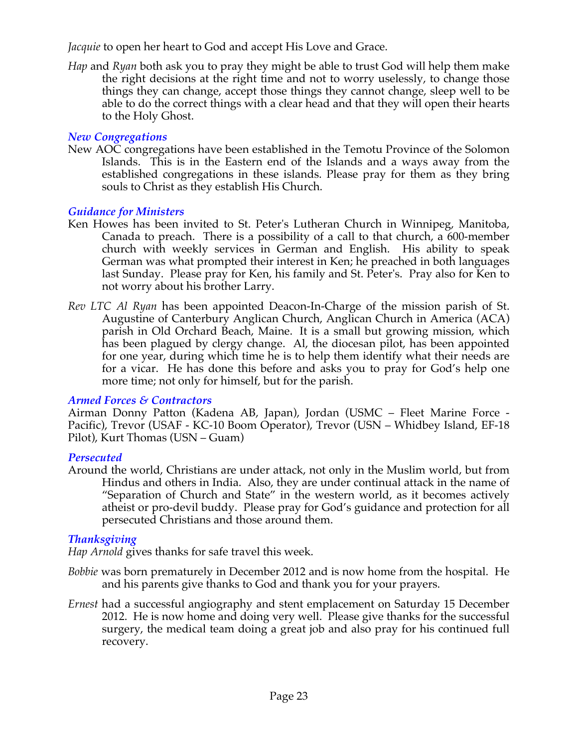*Jacquie* to open her heart to God and accept His Love and Grace.

*Hap* and *Ryan* both ask you to pray they might be able to trust God will help them make the right decisions at the right time and not to worry uselessly, to change those things they can change, accept those things they cannot change, sleep well to be able to do the correct things with a clear head and that they will open their hearts to the Holy Ghost.

## *New Congregations*

New AOC congregations have been established in the Temotu Province of the Solomon Islands. This is in the Eastern end of the Islands and a ways away from the established congregations in these islands. Please pray for them as they bring souls to Christ as they establish His Church.

## *Guidance for Ministers*

- Ken Howes has been invited to St. Peter's Lutheran Church in Winnipeg, Manitoba, Canada to preach. There is a possibility of a call to that church, a 600-member church with weekly services in German and English. His ability to speak German was what prompted their interest in Ken; he preached in both languages last Sunday. Please pray for Ken, his family and St. Peter's. Pray also for Ken to not worry about his brother Larry.
- *Rev LTC Al Ryan* has been appointed Deacon-In-Charge of the mission parish of St. Augustine of Canterbury Anglican Church, Anglican Church in America (ACA) parish in Old Orchard Beach, Maine. It is a small but growing mission, which has been plagued by clergy change. Al, the diocesan pilot, has been appointed for one year, during which time he is to help them identify what their needs are for a vicar. He has done this before and asks you to pray for God's help one more time; not only for himself, but for the parish.

## *Armed Forces & Contractors*

Airman Donny Patton (Kadena AB, Japan), Jordan (USMC – Fleet Marine Force - Pacific), Trevor (USAF - KC-10 Boom Operator), Trevor (USN – Whidbey Island, EF-18 Pilot), Kurt Thomas (USN – Guam)

## *Persecuted*

Around the world, Christians are under attack, not only in the Muslim world, but from Hindus and others in India. Also, they are under continual attack in the name of "Separation of Church and State" in the western world, as it becomes actively atheist or pro-devil buddy. Please pray for God's guidance and protection for all persecuted Christians and those around them.

## *Thanksgiving*

*Hap Arnold* gives thanks for safe travel this week.

- *Bobbie* was born prematurely in December 2012 and is now home from the hospital. He and his parents give thanks to God and thank you for your prayers.
- *Ernest* had a successful angiography and stent emplacement on Saturday 15 December 2012. He is now home and doing very well. Please give thanks for the successful surgery, the medical team doing a great job and also pray for his continued full recovery.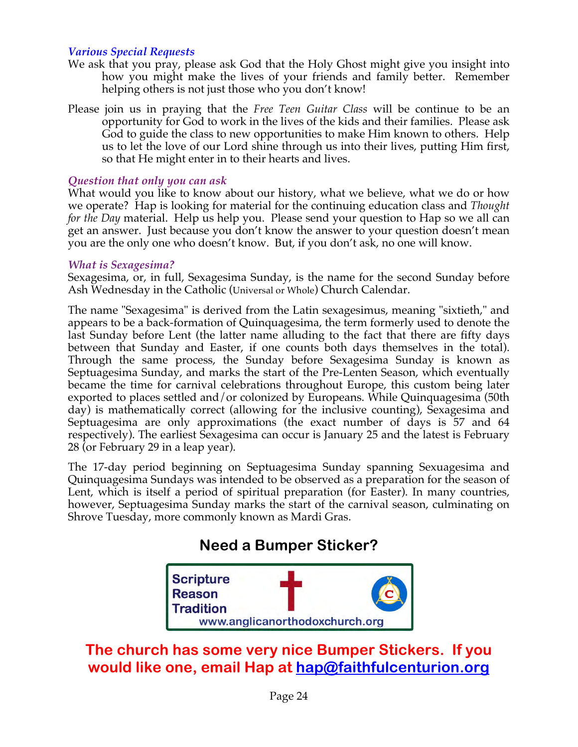## *Various Special Requests*

- We ask that you pray, please ask God that the Holy Ghost might give you insight into how you might make the lives of your friends and family better. Remember helping others is not just those who you don't know!
- Please join us in praying that the *Free Teen Guitar Class* will be continue to be an opportunity for God to work in the lives of the kids and their families. Please ask God to guide the class to new opportunities to make Him known to others. Help us to let the love of our Lord shine through us into their lives, putting Him first, so that He might enter in to their hearts and lives.

## *Question that only you can ask*

What would you like to know about our history, what we believe, what we do or how we operate? Hap is looking for material for the continuing education class and *Thought for the Day* material. Help us help you. Please send your question to Hap so we all can get an answer. Just because you don't know the answer to your question doesn't mean you are the only one who doesn't know. But, if you don't ask, no one will know.

#### *What is Sexagesima?*

Sexagesima, or, in full, Sexagesima Sunday, is the name for the second Sunday before Ash Wednesday in the Catholic (Universal or Whole) Church Calendar.

The name "Sexagesima" is derived from the Latin sexagesimus, meaning "sixtieth," and appears to be a back-formation of Quinquagesima, the term formerly used to denote the last Sunday before Lent (the latter name alluding to the fact that there are fifty days between that Sunday and Easter, if one counts both days themselves in the total). Through the same process, the Sunday before Sexagesima Sunday is known as Septuagesima Sunday, and marks the start of the Pre-Lenten Season, which eventually became the time for carnival celebrations throughout Europe, this custom being later exported to places settled and/or colonized by Europeans. While Quinquagesima (50th day) is mathematically correct (allowing for the inclusive counting), Sexagesima and Septuagesima are only approximations (the exact number of days is 57 and 64 respectively). The earliest Sexagesima can occur is January 25 and the latest is February 28 (or February 29 in a leap year).

The 17-day period beginning on Septuagesima Sunday spanning Sexuagesima and Quinquagesima Sundays was intended to be observed as a preparation for the season of Lent, which is itself a period of spiritual preparation (for Easter). In many countries, however, Septuagesima Sunday marks the start of the carnival season, culminating on Shrove Tuesday, more commonly known as Mardi Gras.

# **Need a Bumper Sticker?**



# **The church has some very nice Bumper Stickers. If you would like one, email Hap at hap@faithfulcenturion.org**